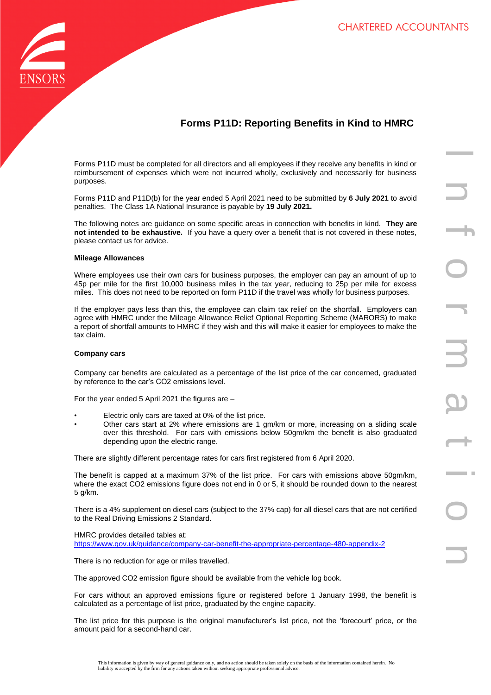

# **Forms P11D: Reporting Benefits in Kind to HMRC**

Forms P11D must be completed for all directors and all employees if they receive any benefits in kind or reimbursement of expenses which were not incurred wholly, exclusively and necessarily for business purposes.

Forms P11D and P11D(b) for the year ended 5 April 2021 need to be submitted by **6 July 2021** to avoid penalties. The Class 1A National Insurance is payable by **19 July 2021.**

The following notes are guidance on some specific areas in connection with benefits in kind. **They are not intended to be exhaustive.** If you have a query over a benefit that is not covered in these notes, please contact us for advice.

# **Mileage Allowances**

Where employees use their own cars for business purposes, the employer can pay an amount of up to 45p per mile for the first 10,000 business miles in the tax year, reducing to 25p per mile for excess miles. This does not need to be reported on form P11D if the travel was wholly for business purposes.

If the employer pays less than this, the employee can claim tax relief on the shortfall. Employers can agree with HMRC under the Mileage Allowance Relief Optional Reporting Scheme (MARORS) to make a report of shortfall amounts to HMRC if they wish and this will make it easier for employees to make the tax claim.

#### **Company cars**

Company car benefits are calculated as a percentage of the list price of the car concerned, graduated by reference to the car's CO2 emissions level.

For the year ended 5 April 2021 the figures are –

- Electric only cars are taxed at 0% of the list price.
- Other cars start at 2% where emissions are 1 gm/km or more, increasing on a sliding scale over this threshold. For cars with emissions below 50gm/km the benefit is also graduated depending upon the electric range.

There are slightly different percentage rates for cars first registered from 6 April 2020.

The benefit is capped at a maximum 37% of the list price. For cars with emissions above 50gm/km, where the exact CO2 emissions figure does not end in 0 or 5, it should be rounded down to the nearest 5 g/km.

There is a 4% supplement on diesel cars (subject to the 37% cap) for all diesel cars that are not certified to the Real Driving Emissions 2 Standard.

HMRC provides detailed tables at: <https://www.gov.uk/guidance/company-car-benefit-the-appropriate-percentage-480-appendix-2>

There is no reduction for age or miles travelled.

The approved CO2 emission figure should be available from the vehicle log book.

For cars without an approved emissions figure or registered before 1 January 1998, the benefit is calculated as a percentage of list price, graduated by the engine capacity.

The list price for this purpose is the original manufacturer's list price, not the 'forecourt' price, or the amount paid for a second-hand car.

In the company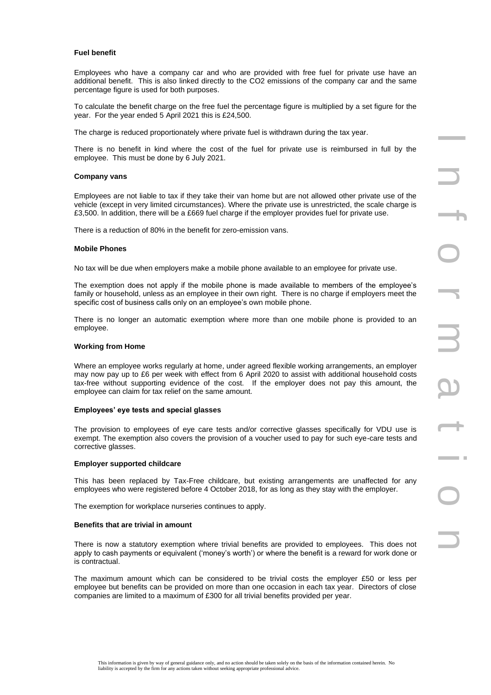# **Fuel benefit**

Employees who have a company car and who are provided with free fuel for private use have an additional benefit. This is also linked directly to the CO2 emissions of the company car and the same percentage figure is used for both purposes.

To calculate the benefit charge on the free fuel the percentage figure is multiplied by a set figure for the year. For the year ended 5 April 2021 this is £24,500.

The charge is reduced proportionately where private fuel is withdrawn during the tax year.

There is no benefit in kind where the cost of the fuel for private use is reimbursed in full by the employee. This must be done by 6 July 2021.

# **Company vans**

Employees are not liable to tax if they take their van home but are not allowed other private use of the vehicle (except in very limited circumstances). Where the private use is unrestricted, the scale charge is £3,500. In addition, there will be a £669 fuel charge if the employer provides fuel for private use.

There is a reduction of 80% in the benefit for zero-emission vans.

# **Mobile Phones**

No tax will be due when employers make a mobile phone available to an employee for private use.

The exemption does not apply if the mobile phone is made available to members of the employee's family or household, unless as an employee in their own right. There is no charge if employers meet the specific cost of business calls only on an employee's own mobile phone.

There is no longer an automatic exemption where more than one mobile phone is provided to an employee.

#### **Working from Home**

Where an employee works regularly at home, under agreed flexible working arrangements, an employer may now pay up to £6 per week with effect from 6 April 2020 to assist with additional household costs tax-free without supporting evidence of the cost. If the employer does not pay this amount, the employee can claim for tax relief on the same amount.

# **Employees' eye tests and special glasses**

The provision to employees of eye care tests and/or corrective glasses specifically for VDU use is exempt. The exemption also covers the provision of a voucher used to pay for such eye-care tests and corrective glasses.

# **Employer supported childcare**

This has been replaced by Tax-Free childcare, but existing arrangements are unaffected for any employees who were registered before 4 October 2018, for as long as they stay with the employer.

The exemption for workplace nurseries continues to apply.

#### **Benefits that are trivial in amount**

There is now a statutory exemption where trivial benefits are provided to employees. This does not apply to cash payments or equivalent ('money's worth') or where the benefit is a reward for work done or is contractual.

The maximum amount which can be considered to be trivial costs the employer £50 or less per employee but benefits can be provided on more than one occasion in each tax year. Directors of close companies are limited to a maximum of £300 for all trivial benefits provided per year.